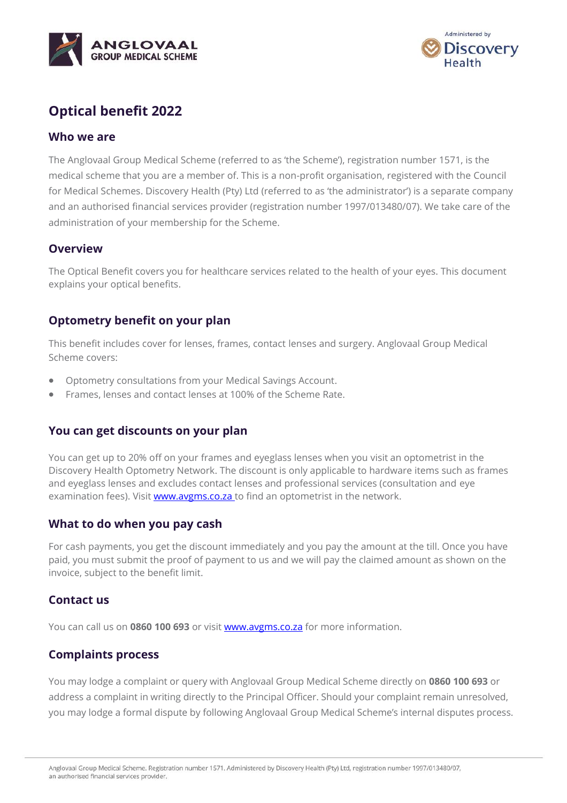



# **Optical benefit 2022**

#### **Who we are**

The Anglovaal Group Medical Scheme (referred to as 'the Scheme'), registration number 1571, is the medical scheme that you are a member of. This is a non-profit organisation, registered with the Council for Medical Schemes. Discovery Health (Pty) Ltd (referred to as 'the administrator') is a separate company and an authorised financial services provider (registration number 1997/013480/07). We take care of the administration of your membership for the Scheme.

#### **Overview**

The Optical Benefit covers you for healthcare services related to the health of your eyes. This document explains your optical benefits.

# **Optometry benefit on your plan**

This benefit includes cover for lenses, frames, contact lenses and surgery. Anglovaal Group Medical Scheme covers:

- Optometry consultations from your Medical Savings Account.
- Frames, lenses and contact lenses at 100% of the Scheme Rate.

# **You can get discounts on your plan**

You can get up to 20% off on your frames and eyeglass lenses when you visit an optometrist in the Discovery Health Optometry Network. The discount is only applicable to hardware items such as frames and eyeglass lenses and excludes contact lenses and professional services (consultation and eye examination fees). Visit **www.avgms.co.za** to find an optometrist in the network.

### **What to do when you pay cash**

For cash payments, you get the discount immediately and you pay the amount at the till. Once you have paid, you must submit the proof of payment to us and we will pay the claimed amount as shown on the invoice, subject to the benefit limit.

### **Contact us**

You can call us on **0860 100 693** or visit [www.avgms.co.za](http://www.avgms.co.za/) for more information.

# **Complaints process**

You may lodge a complaint or query with Anglovaal Group Medical Scheme directly on **0860 100 693** or address a complaint in writing directly to the Principal Officer. Should your complaint remain unresolved, you may lodge a formal dispute by following Anglovaal Group Medical Scheme's internal disputes process.